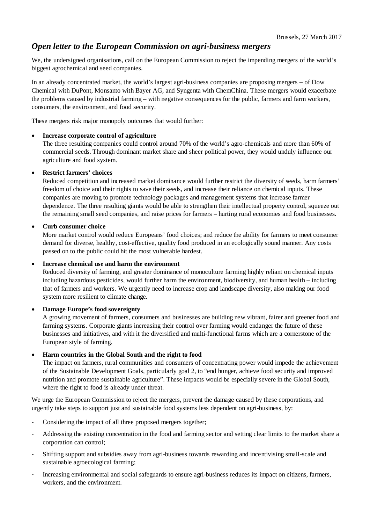# *Open letter to the European Commission on agri-business mergers*

We, the undersigned organisations, call on the European Commission to reject the impending mergers of the world's biggest agrochemical and seed companies.

In an already concentrated market, the world's largest agri-business companies are proposing mergers – of Dow Chemical with DuPont, Monsanto with Bayer AG, and Syngenta with ChemChina. These mergers would exacerbate the problems caused by industrial farming – with negative consequences for the public, farmers and farm workers, consumers, the environment, and food security.

These mergers risk major monopoly outcomes that would further:

# **Increase corporate control of agriculture**

The three resulting companies could control around 70% of the world's agro-chemicals and more than 60% of commercial seeds. Through dominant market share and sheer political power, they would unduly influence our agriculture and food system.

# **Restrict farmers' choices**

Reduced competition and increased market dominance would further restrict the diversity of seeds, harm farmers' freedom of choice and their rights to save their seeds, and increase their reliance on chemical inputs. These companies are moving to promote technology packages and management systems that increase farmer dependence. The three resulting giants would be able to strengthen their intellectual property control, squeeze out the remaining small seed companies, and raise prices for farmers – hurting rural economies and food businesses.

# **Curb consumer choice**

More market control would reduce Europeans' food choices; and reduce the ability for farmers to meet consumer demand for diverse, healthy, cost-effective, quality food produced in an ecologically sound manner. Any costs passed on to the public could hit the most vulnerable hardest.

## **Increase chemical use and harm the environment**

Reduced diversity of farming, and greater dominance of monoculture farming highly reliant on chemical inputs including hazardous pesticides, would further harm the environment, biodiversity, and human health – including that of farmers and workers. We urgently need to increase crop and landscape diversity, also making our food system more resilient to climate change.

# **Damage Europe's food sovereignty**

A growing movement of farmers, consumers and businesses are building new vibrant, fairer and greener food and farming systems. Corporate giants increasing their control over farming would endanger the future of these businesses and initiatives, and with it the diversified and multi-functional farms which are a cornerstone of the European style of farming.

# **Harm countries in the Global South and the right to food**

The impact on farmers, rural communities and consumers of concentrating power would impede the achievement of the Sustainable Development Goals, particularly goal 2, to "end hunger, achieve food security and improved nutrition and promote sustainable agriculture". These impacts would be especially severe in the Global South, where the right to food is already under threat.

We urge the European Commission to reject the mergers, prevent the damage caused by these corporations, and urgently take steps to support just and sustainable food systems less dependent on agri-business, by:

- Considering the impact of all three proposed mergers together;
- Addressing the existing concentration in the food and farming sector and setting clear limits to the market share a corporation can control;
- Shifting support and subsidies away from agri-business towards rewarding and incentivising small-scale and sustainable agroecological farming;
- Increasing environmental and social safeguards to ensure agri-business reduces its impact on citizens, farmers, workers, and the environment.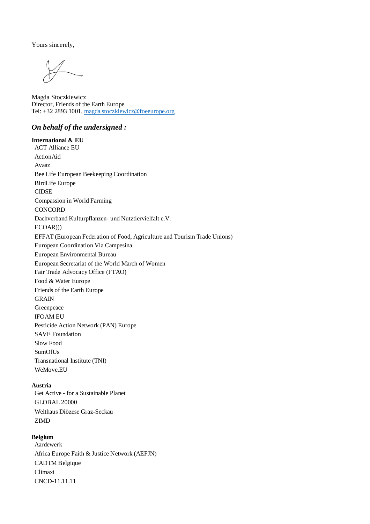Yours sincerely,

Magda Stoczkiewicz Director, Friends of the Earth Europe Tel: +32 2893 1001, magda.stoczkiewicz@foeeurope.org

## *On behalf of the undersigned :*

**International & EU** ACT Alliance EU ActionAid Avaaz Bee Life European Beekeeping Coordination BirdLife Europe CIDSE Compassion in World Farming **CONCORD** Dachverband Kulturpflanzen- und Nutztiervielfalt e.V. ECOAR))) EFFAT (European Federation of Food, Agriculture and Tourism Trade Unions) European Coordination Via Campesina European Environmental Bureau European Secretariat of the World March of Women Fair Trade Advocacy Office (FTAO) Food & Water Europe Friends of the Earth Europe **GRAIN** Greenpeace IFOAM EU Pesticide Action Network (PAN) Europe SAVE Foundation Slow Food SumOfUs Transnational Institute (TNI) WeMove.EU

#### **Austria**

Get Active - for a Sustainable Planet GLOBAL 20000 Welthaus Diözese Graz-Seckau ZIMD

## **Belgium**

Aardewerk Africa Europe Faith & Justice Network (AEFJN) CADTM Belgique Climaxi CNCD-11.11.11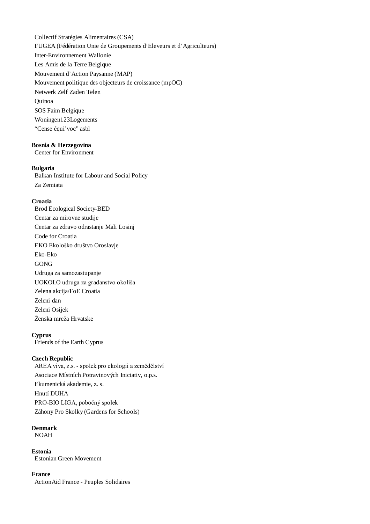Collectif Stratégies Alimentaires (CSA) FUGEA (Fédération Unie de Groupements d'Eleveurs et d'Agriculteurs) Inter-Environnement Wallonie Les Amis de la Terre Belgique Mouvement d'Action Paysanne (MAP) Mouvement politique des objecteurs de croissance (mpOC) Netwerk Zelf Zaden Telen Quinoa SOS Faim Belgique Woningen123Logements "Cense équi'voc" asbl

#### **Bosnia & Herzegovina**

Center for Environment

#### **Bulgaria**

Balkan Institute for Labour and Social Policy Za Zemiata

## **Croatia**

Brod Ecological Society-BED Centar za mirovne studije Centar za zdravo odrastanje Mali Losinj Code for Croatia EKO Ekološko društvo Oroslavje Eko-Eko GONG Udruga za samozastupanje UOKOLO udruga za građanstvo okoliša Zelena akcija/FoE Croatia Zeleni dan Zeleni Osijek Ženska mreža Hrvatske

# **Cyprus**

Friends of the Earth Cyprus

#### **Czech Republic**

AREA viva, z.s. - spolek pro ekologii a zemědělství Asociace Místních Potravinových Iniciativ, o.p.s. Ekumenická akademie, z. s. Hnutí DUHA PRO-BIO LIGA, pobočný spolek Záhony Pro Skolky (Gardens for Schools)

#### **Denmark** NOAH

**Estonia** Estonian Green Movement

#### **France**

ActionAid France - Peuples Solidaires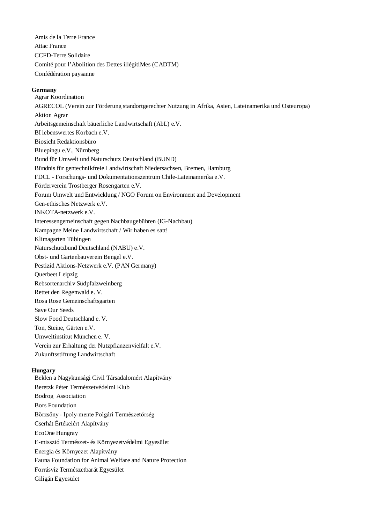Amis de la Terre France Attac France CCFD-Terre Solidaire Comité pour l'Abolition des Dettes illégitiMes (CADTM) Confédération paysanne

## **Germany**

Agrar Koordination AGRECOL (Verein zur Förderung standortgerechter Nutzung in Afrika, Asien, Lateinamerika und Osteuropa) Aktion Agrar Arbeitsgemeinschaft bäuerliche Landwirtschaft (AbL) e.V. BI lebenswertes Korbach e.V. Biosicht Redaktionsbüro Bluepingu e.V., Nürnberg Bund für Umwelt und Naturschutz Deutschland (BUND) Bündnis für gentechnikfreie Landwirtschaft Niedersachsen, Bremen, Hamburg FDCL - Forschungs- und Dokumentationszentrum Chile-Lateinamerika e.V. Förderverein Trostberger Rosengarten e.V. Forum Umwelt und Entwicklung / NGO Forum on Environment and Development Gen-ethisches Netzwerk e.V. INKOTA-netzwerk e.V. Interessengemeinschaft gegen Nachbaugebühren (IG-Nachbau) Kampagne Meine Landwirtschaft / Wir haben es satt! Klimagarten Tübingen Naturschutzbund Deutschland (NABU) e.V. Obst- und Gartenbauverein Bengel e.V. Pestizid Aktions-Netzwerk e.V. (PAN Germany) Querbeet Leipzig Rebsortenarchiv Südpfalzweinberg Rettet den Regenwald e. V. Rosa Rose Gemeinschaftsgarten Save Our Seeds Slow Food Deutschland e. V. Ton, Steine, Gärten e.V. Umweltinstitut München e. V. Verein zur Erhaltung der Nutzpflanzenvielfalt e.V. Zukunftsstiftung Landwirtschaft

## **Hungary**

Beklen a Nagykunsági Civil Társadalomért Alapítvány Beretzk Péter Természetvédelmi Klub Bodrog Association Bors Foundation Börzsöny - Ipoly-mente Polgári Természetőrség Cserhát Értékeiért Alapítvány EcoOne Hungray E-misszió Természet- és Környezetvédelmi Egyesület Energia és Környezet Alapítvány Fauna Foundation for Animal Welfare and Nature Protection Forrásvíz Természetbarát Egyesület Giligán Egyesület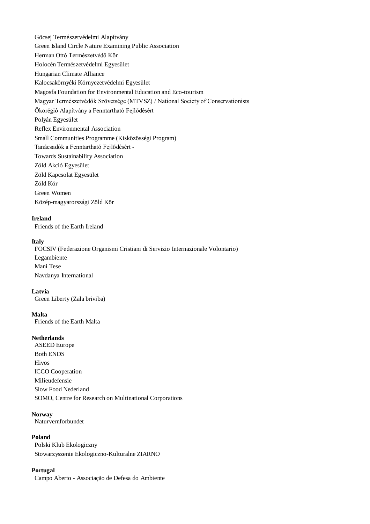Göcsej Természetvédelmi Alapítvány Green Island Circle Nature Examining Public Association Herman Ottó Természetvédő Kör Holocén Természetvédelmi Egyesület Hungarian Climate Alliance Kalocsakörnyéki Környezetvédelmi Egyesület Magosfa Foundation for Environmental Education and Eco-tourism Magyar Természetvédők Szövetsége (MTVSZ) / National Society of Conservationists Ökorégió Alapítvány a Fenntartható Fejlődésért Polyán Egyesület Reflex Environmental Association Small Communities Programme (Kisközösségi Program) Tanácsadók a Fenntartható Fejlődésért - Towards Sustainability Association Zöld Akció Egyesület Zöld Kapcsolat Egyesület Zöld Kör Green Women Közép-magyarországi Zöld Kör

#### **Ireland**

Friends of the Earth Ireland

## **Italy**

FOCSIV (Federazione Organismi Cristiani di Servizio Internazionale Volontario) Legambiente Mani Tese Navdanya International

#### **Latvia**

Green Liberty (Zala briviba)

#### **Malta**

Friends of the Earth Malta

## **Netherlands**

ASEED Europe Both ENDS Hivos ICCO Cooperation Milieudefensie Slow Food Nederland SOMO, Centre for Research on Multinational Corporations

#### **Norway**

Naturvernforbundet

## **Poland**

Polski Klub Ekologiczny Stowarzyszenie Ekologiczno-Kulturalne ZIARNO

### **Portugal**

Campo Aberto - Associação de Defesa do Ambiente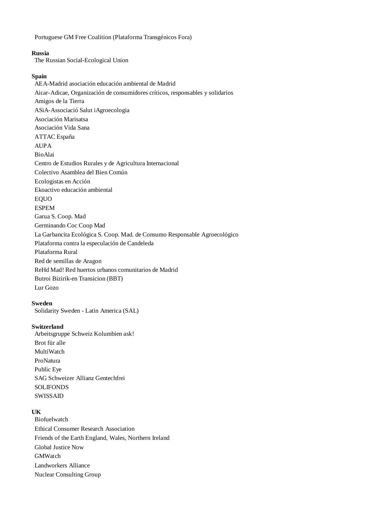Portuguese GM Free Coalition (Plataforma Transgénicos Fora)

#### **Russia**

The Russian Social-Ecological Union

#### **Spain**

AEA-Madrid asociación educación ambiental de Madrid Aicar-Adicae, Organización de consumidores críticos, responsables y solidarios Amigos de la Tierra ASiA-Associació Salut iAgroecologia Asociación Marisatsa Asociación Vida Sana ATTAC España AUPA BioAlai Centro de Estudios Rurales y de Agricultura Internacional Colectivo Asamblea del Bien Común Ecologistas en Acción Ekoactivo educación ambiental EQUO ESPEM Garua S. Coop. Mad Germinando Coc Coop Mad La Garbancita Ecológica S. Coop. Mad. de Consumo Responsable Agroecológico Plataforma contra la especulación de Candeleda Plataforma Rural Red de semillas de Aragon ReHd Mad! Red huertos urbanos comunitarios de Madrid Butroi Bizirik-en Transicion (BBT) Lur Gozo

#### **Sweden**

Solidarity Sweden - Latin America (SAL)

#### **Switzerland**

Arbeitsgruppe Schweiz Kolumbien ask! Brot für alle MultiWatch ProNatura Public Eye SAG Schweizer Allianz Gentechfrei **SOLIFONDS** SWISSAID

## **UK**

Biofuelwatch Ethical Consumer Research Association Friends of the Earth England, Wales, Northern Ireland Global Justice Now GMWatch Landworkers Alliance Nuclear Consulting Group